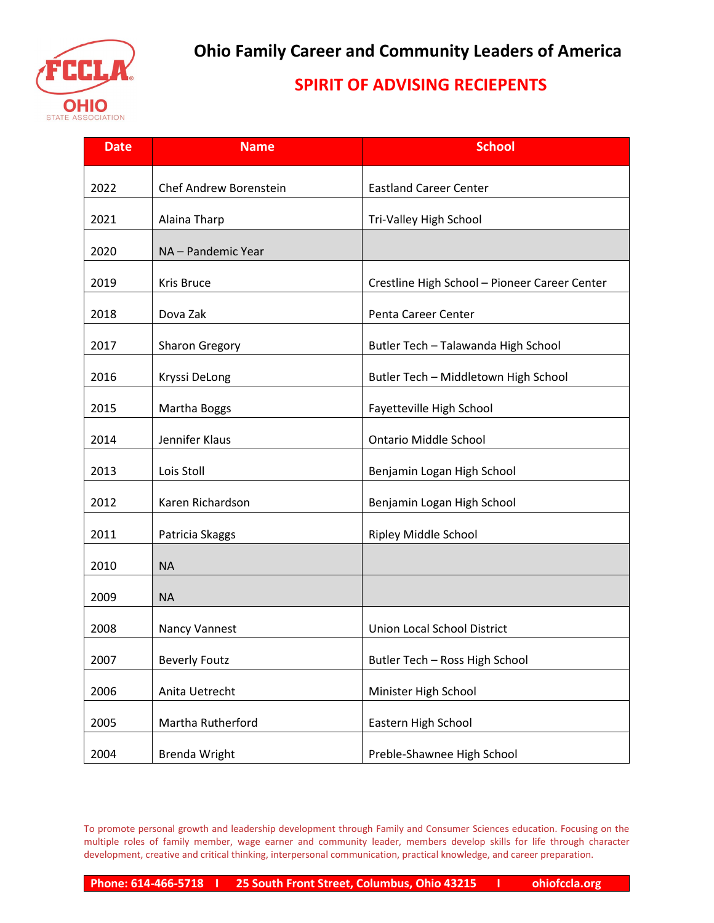

## **SPIRIT OF ADVISING RECIEPENTS**

| <b>Date</b> | <b>Name</b>            | <b>School</b>                                 |
|-------------|------------------------|-----------------------------------------------|
| 2022        | Chef Andrew Borenstein | <b>Eastland Career Center</b>                 |
| 2021        | Alaina Tharp           | Tri-Valley High School                        |
| 2020        | NA - Pandemic Year     |                                               |
| 2019        | Kris Bruce             | Crestline High School - Pioneer Career Center |
| 2018        | Dova Zak               | Penta Career Center                           |
| 2017        | Sharon Gregory         | Butler Tech - Talawanda High School           |
| 2016        | Kryssi DeLong          | Butler Tech - Middletown High School          |
| 2015        | Martha Boggs           | Fayetteville High School                      |
| 2014        | Jennifer Klaus         | <b>Ontario Middle School</b>                  |
| 2013        | Lois Stoll             | Benjamin Logan High School                    |
| 2012        | Karen Richardson       | Benjamin Logan High School                    |
| 2011        | Patricia Skaggs        | Ripley Middle School                          |
| 2010        | <b>NA</b>              |                                               |
| 2009        | <b>NA</b>              |                                               |
| 2008        | <b>Nancy Vannest</b>   | <b>Union Local School District</b>            |
| 2007        | <b>Beverly Foutz</b>   | Butler Tech - Ross High School                |
| 2006        | Anita Uetrecht         | Minister High School                          |
| 2005        | Martha Rutherford      | Eastern High School                           |
| 2004        | <b>Brenda Wright</b>   | Preble-Shawnee High School                    |

To promote personal growth and leadership development through Family and Consumer Sciences education. Focusing on the multiple roles of family member, wage earner and community leader, members develop skills for life through character development, creative and critical thinking, interpersonal communication, practical knowledge, and career preparation.